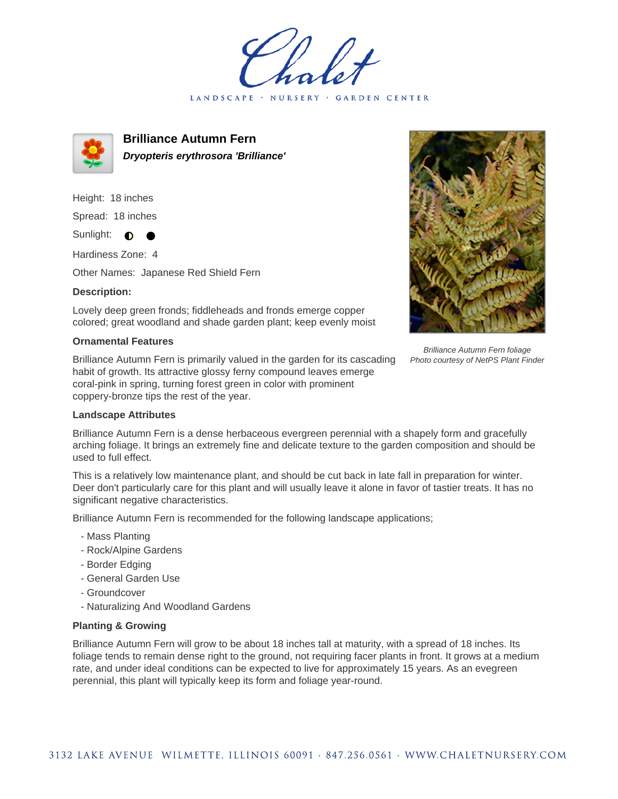LANDSCAPE · NURSERY GARDEN CENTER



**Brilliance Autumn Fern Dryopteris erythrosora 'Brilliance'**

Height: 18 inches Spread: 18 inches Sunlight:  $\bullet$ 

Hardiness Zone: 4

Other Names: Japanese Red Shield Fern

## **Description:**

Lovely deep green fronds; fiddleheads and fronds emerge copper colored; great woodland and shade garden plant; keep evenly moist

## **Ornamental Features**

Brilliance Autumn Fern is primarily valued in the garden for its cascading habit of growth. Its attractive glossy ferny compound leaves emerge coral-pink in spring, turning forest green in color with prominent coppery-bronze tips the rest of the year.



Brilliance Autumn Fern is a dense herbaceous evergreen perennial with a shapely form and gracefully arching foliage. It brings an extremely fine and delicate texture to the garden composition and should be used to full effect.

This is a relatively low maintenance plant, and should be cut back in late fall in preparation for winter. Deer don't particularly care for this plant and will usually leave it alone in favor of tastier treats. It has no significant negative characteristics.

Brilliance Autumn Fern is recommended for the following landscape applications;

- Mass Planting
- Rock/Alpine Gardens
- Border Edging
- General Garden Use
- Groundcover
- Naturalizing And Woodland Gardens

## **Planting & Growing**

Brilliance Autumn Fern will grow to be about 18 inches tall at maturity, with a spread of 18 inches. Its foliage tends to remain dense right to the ground, not requiring facer plants in front. It grows at a medium rate, and under ideal conditions can be expected to live for approximately 15 years. As an evegreen perennial, this plant will typically keep its form and foliage year-round.



Brilliance Autumn Fern foliage Photo courtesy of NetPS Plant Finder